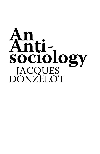# Anti**sociology** JACQUES DONZELOT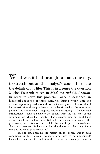What was it that brought a man, one day, to stretch out on the analyst's couch to relate the details of his life? This is in a sense the question Michel Foucault raised in Madness and Civilization. In order to solve this problem, Foucault described an historical sequence of three centuries during which time the division separating madness and normality was plotted. The results of his investigation show psychoanalysis to be situated at the outermost point of the confinement trappings without foregoing its fundamental implications: "Freud did deliver the patient from the existence of the asylum within which his 'liberators' had alienated him; but he did not deliver him from what was essential in this existence ... he created the psychoanalytical situation in which, by an inspired short-circuit, alienation becomes disalienation, but the doctor as alienating figure remains the key to psychoanalysis."

Yes, one could tell his life history on the couch. But in such conditions as this, Foucault wonders, what was to be understood? Foucault's impertinent conclusion directed at psychoanalysis was to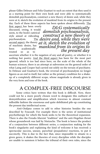please Gilles Deleuze and Felix Guattari to such an extent that they used it as a starting point for their own book and were able to systematically demolish psychoanalysis, construct a new theory of desire and, while they were at it, sketch the evolution of mankind from its origins to the present day. Each of these three aspects has been spoken about differently. The

first aspect has been overly discussed, owing, it would seem, to the book's satirical style aimed at ridiculing psychoanalysis. second aspect, the theory  $at$  it, sketch the evolution of of machinic desire, has been academically treated so as to D&G systematically demolish psychoanalysis, construct a new theory of desire and, while they were mankind from its origins to<br>the present day

ascertain whether it is the negation of any and all poetry, or whether it is nothing but poetry. And the third aspect has been for the most part ignored, which is too bad since here, on the scale of the whole of the human sciences, there is an attempt at subversion on the general order of what Laing and Cooper had carried out solely on the terrain of psychiatry. In Deleuze and Guattari's book, the reversal of psychoanalysis no longer figures as an end in itself, but rather as the primary condition for a shakeup of a completely different scope, whose magnitude is already given in the very form and tone of the book.

### A COMPLEX-FREE DISCOURSE

Some critics have written that this book is difficult. Now, there could not be a more poorly chosen word to designate this outburst of demystification and simplification which traverses in almost constant inflexible fashion the enormous and quite debilitated pile-up constituting the present day intellectual scene.

Anti-Oedipus comes to add to other histories besides the one described by Foucault. For example there is the series of institutional psychotherapy for which the book seeks to be the theoretical expansion. There is also the Freudo-Marxist "tradition" and the anti-Hegelian thrust whose groundwork was laid by Nietzsche. The book is hence the product of a conjunction between different series, a conjunction making for the book's singularity and explaining the kind of welcome it has received: a spectacular success, uneasy, parochial *(poujadistes)* reactions, to put it succinctly. This is due to the fact that, since impossible to situate in a given genre, it shakes the theories of every discipline while the disciples are unable to summon it before the tribunal of their own rules, since the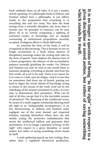book outflanks them on all sides. It is not a matter, strictly speaking, of a philosophy book; if Deleuze and Guattari indeed have a philosophy, it can adhere totally to the proposition that everything is in everything else and vice versa. Nor does the book emerge from a scientific discipline, any more than it invents one. Its principle of existence can be seen above all in an activity comprising a splitting of instituted modes of knowledge and an integral overturning of institutional propositions currently accepted. Prodigious efforts to think differently.

As concerns the form of the book, it will be recognized as disconcerting. This is because we are no longer accustomed to a book whose absence of disciplinary moorings makes the writing style take on the form of speech. Some deplore the absence here of a linear progression, the absence of the accumulative patience normally gratifying the reader. For Deleuze and Guattari can only be read as one would listen to someone speaking: everything is already said from the first words, all is yet to be said. There is no reason for it to come to a halt, save for fatigue. And it is true that we sometimes find them out of breath, panting too hard to digest the erratic blocks of knowledge acting as stones in the stream of the work, tired out by the rehashings of the primary postulates in order, at every tum, to demonstrate their pertinence. What can be said of all this, except that it is the inevitable ransom of adventure? The flattening of the intellectual scene, by means of a multi-angular scholarship allowing itself tile right to an "indispensable incompetence," is no less disconcerting, as Deleuze and Guattari make negligent use of the most learned and respected scholars, enjoying themselves where they can and nimbly scaling the protective embankments that secure the intellectual edifices and guarantee their prominence. It is no longer a question of being "in the right" with respect to a given discipline or noted author, but rather of saying something which stands by itself.

A style gathering speech up into writing, then, rather than a regulated theoretical production,

which stands by itself. given discipline or noted author, but rather of saying something It is no longer a question of being "in the right" with respect to a hich stands by itself ຫຼື ipline or er a question of noted author, but rather of saying somethin the 1 right" with respect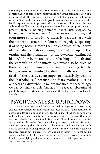discouraging a study of it, as if the desired effect were not so much the contemplation of some body of knowledge as it is the communication of a joyful certitude: the history of humanity is that of a long error that begins with the State and continues with psychoanalysis, via capitalism and the familial system. Another planetary discourse, some will say, but this time at least those "humanistic" fidgetings of nostalgia and prophecy are not present, there is nothing oratorical about Anti-Oedipus, no imprecations, no invocations. In order to read this book, and even more so to like it, we must, it is true, share with the authors a certain boredom with tragedy, suspecting it of being nothing more than an exorcism of life, a way of de-realizing history through the calling up of the origins and the incantation of the outcome, cutting off history's flow by means of the rehashings of myth and the compulsion of phantasy. We must also be tired of those entreaties aimed at giving a meaning to life because one is haunted by death. Finally we must be tired of the positivist attempts to obsessively delimit the "pathological" because one fears madness just as one fears all difference. If we are not tired of these things, we will get angry at only finding in its pages an obscuring of painfully acquired certitudes, settlements for the initiated, and a fashionable terrorism.

#### PSYCHOANALYSIS UPSIDE DOWN

Their enterprise could only be carried out against psychoanalysis, against its sovereign position within the intellectual field, its aptitude for decoding different modes of knowledge while inscribing them in its own wake, all the while constituting the inevitable target for any attempt at seriously shaking up this intellectual field. Now, how could a leftist critique of psychoanalysis be made, when psychoanalysis is justified in its own principles by the relationship of liberation which it maintains with what is driven back or repressed, and when it is powerfully shielded by a technical facade barring access to any and all criticism? The most daring among such projects of critique only scratched the psychoanalytic edifice, fitted it up in slightly different fashion, or annexed it with great reverence and many precautions.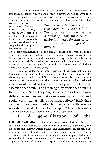This theoretical and political lock-up relies, as we can now see, on two main allegations which have permitted psychoanalysis to drive back criticism up until now. The first assertion: desire is reactionary in its essence, it does not bear on the present, and even less on the future, but

seeks instead a reactivation of the past. From this angle, psychoanalysis passed, if not for revolutionary, at least for honorably progressive since it was coupled with a project of maturation of desire.

• *The first assertion: desire is reactionary in its essence […]* • *The second assumption: desire is a denial of reality since every desire is a desire for images or, what is worse, for images of images.*

The second assumption: desire is a denial of reality since every desire is a desire for images or, what is worse, for images of images. According to this assessment, desire would thus keep us perpetually out of key with respect to the real. Only analysis had competence in this area and was able to make the claim that it could unmask this "impossible real" hidden behind the theater of the Imaginary.

The growing feeling in recent years that things were not running too smoothly in the area of psychoanalysis constantly ran up against the above argument. Deleuze and Guattari move from this to an extremely coherent attitude stating that what cannot be assimilated or reshaped must be overthrown without another word being wasted on it. To the assertion that desire is de-realizing they retort that desire is the real itself, Why, they ask, see anything other than a difference in régime between desiring activity and social, technical, artistic or political activity? Surely there can be a reactionary desire, but desire is in its essence revolutionary – take Fourier for example. This veritable reversion of psychoanalyisis is carried out thanks to three operations:

#### **1. A generalization of the**

**unconscious**. – Once it has been detriangularized, relativized, the unconscious becomes the continuum of existence, its principle, and no longer one impetus among others. The unconscious, an orphan, selfproduced, anarchist and atheist, cyclical, enveloping within its own experience that of death, makes Becoming into something which does not stop and which never stops recurring. It therefore knows nothing of the origin or the end of existence, it expresses nothing and is not even a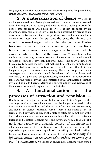language. It is not the secret repository of a meaning to be deciphered, but rather the state of coexistence of man and nature.

**2. A materialization of desire.**– Desire is no longer viewed as a desire for something; it is not a tension exerted toward an object that is lacking and which is always lacking in order for desire, transcendence and beliefs to live; it is not produced by an incompleteness, but is, precisely, a production working by means of an association between machines that produce flows and other machines which break these flows: the sun and the eyes, the air and the mouth, the sexual organ and anything else you want. Desire back on its feet consists of a swarming of connections between energy-machines and organ-machines, and which can incidentally be both at the same time. Process thus implies neither law, hierarchy, nor transgression. The extension of sexuality to all surfaces of contact is obviously not what makes this analysis new-here Freud already pointed the way; what makes it different is the simultaneous desubstantialization and demystification of sexuality, such that desire no longer has a precise substance or a meaning. There is no longer a myth, an archetype or a structure which could be related back to the drives, and vice versa, in a give-and-take guaranteeing sexuality as an underground force and the force of myths. The shattering of this link holding together myth and sexuality liberates desire as a surface activity, and relieves it of the character of canned tragedy vile to the taste-buds.

**3. A functionalization of the processes of attraction and repulsion.** – Death is not the object of desire, but a form of desire, "a part of the desiring-machine, a part which must itself be judged, evaluated in the functioning of the machine and the system of its energetic conversions, and not as an abstract principle." Just as there is life which desires in terms of the body without organs, this state of catatonic immobility of the body which silences organs and repudiates them. The difference between Deleuze and Guattari's analysis here, and psychoanalysis, is that we are no longer captive to a dualistic concept of the instincts, a dilemma approving of civilization at every turn and sanctioning the repressive agencies as alone capable of combatting the death instinct. Instead we have at our disposal the possibility of *understanding the* life-death, attraction-repulsion relationships in terms of a positive conjugation. No longer an antagonistic dualism which would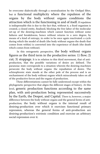be overcome dialectically through a neutralization by the Oedipal filter, but a functional multiplicity where the repulsion of the organs by the body without organs conditions the attraction which is the functioning in and of itself. If repulsion is indispensable this is due to the fact that, without it, a fixed organism is created, a closed entity, finalized, blocking the free labor of the molecular set-up of the desiring-machines which cannot function without some failures and breakdowns, hence without returns to a zero degree, by means of a kind of entropy, in order to be once again reactivated: a cycle during which the model of death (the body without organs-the death that comes from within) is converted into the experience of death (the death which comes from without).

In this ontogenetic perspective, the body without organs figures as the third term in the productive series: 1) flow; 2) cut; 3) stoppage. It is in relation to this third movement, that of antiproduction, that the possible variations of desire arc defined. The paranoiac state corresponds to a situation wherein the desiring-machines persecute the body without organs: the repudiation of desire. The schizophrenic state stands at the other pole of the process and is an enchantment of the body without organs which miraculously takes on all of the productive forces and the organs of production.

These differentiations cannot be fully understood except within the phylogenetic perspective that aligns the different stages of history. At this level, generic production functions according to the same plan, with anti-production being represented successively by the Earth, the Despot, and Capital. There is, however, a major difference between the body without organs and the general forms of antiproduction; the body without organs is the internal result of desiring-production over which it exercises functional primary repression, whereas the general forms of anti-production are desiring-production's extrinsic condition and exercise an arbitrary social repression over it.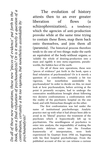The evolution of history attests then to an ever greater liberation of flows (a schizophrenization), a tendency which the agencies of anti-production provoke while at the same time trying to contain these flows, map them back onto themselves, and join them all (paranoia). The historical process therefore tends to do one of two things: make the earth an equivalent of the body-without organs; or 'solidify the whole of desiring-production into a mass and rigidify it into meta-organisms, pseudoworlds, the hidden face of the earth.

Do all of these new operations, these new "pieces of evidence" put forth in the book, open a final refutation of psychoanalysis? Or is it merely a question of a contribution, certainly a bit too vigorous, but nonetheless assimilable by psychoanalysis? In order to decide on this, we must look at how psychoanalysis, before arriving at the point it presently occupies, had to undergo the consecutive modifications brought about following two decisive confrontations: a confrontation with the reality of the psychiatric hospital on the one hand, and with Nietzschian thought on the other.

The first confrontation was led under the name of institutional psychotherapy. Analytic practice met up with what it had always been able to avoid in its "liberal" practice: the treatment of the psychoses which it hypocritically left up to psychiatrists. The unwillingness of psychotics to enter into analysis, the impossibility of making the psychotic delirium enter into the Freudian frameworks of interpretation, were both experienced by Guattari from 1956 on, beginning with his first hospital psychotherapy. From the published account of this we can witness a curious

*book, open a final refutation of psychoanalysis? Or is it merely a question of a*  ot a *Do all of these new operations, these new "pieces of evidence" put forth in the*  Do all of these new operations, these new "pieces of evidence" put forth in the book, open a final refutation of psychoanalysis? Or is it merely a question *too vigorous, but nonetheless assimilable by*  contribution, certainly a bit too vigorous, but nonetheless assimilable by *contribution, certainly a bit psychoanalysis?*psychoanalysis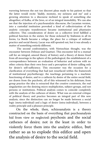wavering between the not too discreet pleas made to his patient so that the latter would recite "daddy, mommy, my sickness and me" and a growing attention to a discourse inclined to speak of something else altogether; of Kafka, of the Jews, or of an integral immobility. We can also see that the injection of a psychoanalytic discourse, the Lacanian version, into a custodial institution provoked a kind of collectivization of the analytic concepts: transferences became institutional and phantasies collective. This consideration of desire on a collective level fulfilled a political function in the sixties: for those sickened by Stalinism in all its forms, La Borde became a refuge, the place for a critique of militant practice and social theory; Lacan was still spouted out, but it was already a matter of something entirely different.

The second confrontation, with Nietzschian thought, was the encounter between Deleuze and Guattari. This encounter led to a mutual call for an integral, amoral theory of history and a theory of desire freed from all moorings in the sphere of the pathological, the establishment of a correspondence between an evaluation of behavior and actions with no other criteria than their own force and a perception of desire calling only for desire's self-sufficiency. This encounter was the occasion for a clarification of everything that had just resurfaced within the framework of institutional psychotherapy: the teachings pertaining to a machinic functioning of desire, and to a cathexis by desire of the entire social field, are drawn from the psychotic, all of this witnessed in his delirium; from group practice the idea is extracted that the creative constructs, the real singularities are the desiring micro-multiplicities, subject-groups, and not persons or institutions. Political analysis comes to coincide completely with the analysis of the cathexes of desire. What was an external critique of political theory and practice becomes an integral part of this new analysis, since the distinction can no longer be made between a social logic (meta-individual) and a logic of desire (intra-individual), between a reality principle and a pleasure principle.

On the whole, then, schizoanalysis is a theory constructed on the basis of everything that psychoanalysis hid from view or neglected: psychosis and the social cathexes of desire; not in the least in order to violently force them into the analytic edifice, but rather so as to explode this edifice and open the analysis of desire to the social field.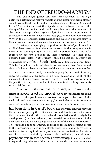## THE END OF FREUDO-MARXISM

But, one might quickly ask, isn't this effacement of the rigid distinction between the reality principle and the pleasure principle already an old dream, the dream behind all the attempts at synthesis of Marx and Freud? And besides, doesn't this liquidation of the barrier between the theory of the unconscious and social theory lead us to the same sort of aberrations we reproached psychoanalysis for above: an imperialism of the theory of the unconscious which subjugates all the other dimensions? Why, in the last analysis, prefer Deleuze and Guattari's anthropology to the anthropologies sought in close allegiance with Lacanian orthodoxy?

An attempt at specifying the position of *Anti-Oedipus* in relation to all of these questions is all the more necessary in that its appearance is more or less contemporary with two equally important books which take appreciably different positions on these questions. The first book, published right before Anti-Oedipus, entitled La critique de l'economie politique du signe by Jean Baudrillard, is a critique of Marx's critique. This book's political point of view is no less radical than Deleuze and Guattari's, but it is based on a theory of the unconscious very close to that of Lacan. The second book, Le psychanalysme, by Robert Castel, appeared several months later. It is a total denunciation of all of the illusions held by psychoanalysis with regard to its political scope, both in the practice of its agents as well as in the attempts at reaching a synthesis with social theories.

"It seems to us that one has yet to analyze the role and the effects of this **CONTACTUAL** model *which* psychoanalysis has come to follow ... (the psychoanalytic contract as a particular case of the medico-liberal contractual relationship)," writes Deleuze in his preface to Guattari's Psychanalyse et transversalite. It can now be said that this has been done in Castel's book. The analytical contract provides the means for "placing the political and social determinations aside from the very moment and at the very level of the foundation of the analysis, its development (the dual relation), its materials (the formations of the unconscious), and its concepts (the categories of the analytic discourse)." The contract is thus an arbitrary convention for gaining a certain access to the unconscious which is completely caught in a bias with respect to reality; a bias having to do with procedures of neutralization of what, in real life, is never neutral. By means of this preliminary neutralization, psychoanalysis in fact becomes *neutralizing*, it neutralizes what it expels through the use of the contract but subtly continues in its own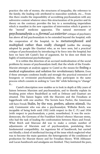practice: the role of money, the structures of inequality, the reference to the family, the leading role attributed to masculine symbols, etc.... From this there results the impossibility of accrediting psychoanalysis with any subversive content whatever since this structuration of its practice and its theory on the contrary provides the key to a normalizing imperialism which is manifest in the new capacities of intervention which it grants to the "mental" medicine apparatus. The natural movement of psychoanalysis in its formal and exterior critique of psychiatry has above all led psychoanalysis to be extended beyond the hospital, with the cooperation of the hospital, to be metamorphozed and multiplied rather than really changed (unlike the strategy adopted by people like Guattari who, as we have seen, led a practical critique of psychoanalysis by introducing it by force into the hospital; but here we have left Castel's line of argument, for he does not think too highly of institutional psychotherapy).

It is within this direction of an accrued medicalization of the social problems by means of psychoanalysis itself, that the whole of the Freudo-Marxist attempts at analysis appear to Castel as the means for finding a medical explanation and solution for revolutionary failures. Even if these attempts condemn loudly and strongly the practical extension of bourgeois or revisionist psychoanalysis, they participate in the same process which consists in seeking to "cure life" while believing to "change" it...

Castel's description now enables us to look in depth at fifty years of liaison between Marxism and psychoanalysis, and to thereby explain its breaking point where Baudrillard as well as Deleuze and Guattari are situated. This liaison begins with the Marxists and the Freudians at loggerheads with one another. The Soviets have Pavlov, the Americans will have Freud; Stalin, by the way, prefers, adores stimuli. The only Communist who was also a psychoanalyst, Wilhelm Reich, was incapable of being both until 1932 (with respect to the C. P.) and 1934 (with respect to psychoanalysis, a point, nonetheless). It was the sociodemocrats, the Germans of the Frankfurt School whence Marcuse stems, who had the task of leading the confrontation between Marx and Freud. What Reich and Marcuse did was to make a certain number of adjustments of Marxism and of psychoanalysis, postulating their fundamental compatibility. An ingenious bit of handiwork, but carried out blindly; a kind of intellectual forcing of the issue which neglected what was to become the main question: the heterogeneity of the conditions of production for Marxist theory and for Freudian theory. With Althusser and Lacan handiwork and amalgams are finished. They instituted the pure,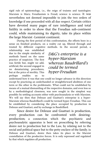rigid rule of epistemology, i.e., the reign of truisms and tautologies: Marxism is Marx; Freudianism is Freud; science is science. It was nevertheless not deemed impossible to join the two orders of knowledge if one proceeded with all due respect. Certain critics have devoted many pages of rare intelligence and total futility in order to show that the Freudian sub-continent could, while maintaining its dignity, take its place within the large Marxist -Leninist continent.

During the first period of this confrontation, the efforts bore in a sense on finished products, on a reality cut up, filtered through and treated by different cognitive methods. In the second period, a

relationship was established due to the simple similarity of methods based on the same practice of suspicion. The first was fertile but, might we add, artificial; the second engaged in no denaturizing procedures, but at the price of sterility. This perhaps enables us to

*D&G's enterprise is a hyper-Marxism whereas Baudrillard's could be termed hyper-Freudian*

understand how it was that one could no longer advance in this direction except by practicing an underhanded or straightforward abolition of one term or the other in the problematic. What could not be established by means of a mutual dismantling of the respective domains, and even less so by a methodological closeness, was now sought in the simplest way possible: by settling accounts either with psychoanalysis or with Marxism. We will say then that Deleuze and Guattari's enterprise is a hyper-Marxism whereas Baudrillard's could be termed hyper-Freudian. This can be established by considering the place occupied by production in Deleuze and Guattari, and by exchange in Baudrillard.

Since desire for Deleuze and Guattari is production, every production can be confronted with desiringproduction; a connection which the psychiatric and psychoanalytic apparatus is bent on proscribing by referring desire not to production but to the Law, by relating not to the social and political space but to the petty enclave of the family. In Deleuze and Guattari, desire then takes its place in the Marxist constellation of the productive forces. It is only repressed and regulated by that which regulates all production.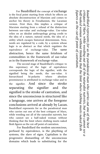For Baudrillard the concept of exchange is the focal point starting from which he effects an absolute deconstruction of Marxism and comes to anchor his theory in Freudianism, the Lacanian version. First then, this implies a critique of Marxism starting from a refusal of the distinction between use-value and exchange-value. Use-value relies on an idealist anthropology giving credit to the idea of a nature, natural needs, the idea of a utility which escapes historical determinism. Now, needs are regulated by a code, by a system whose logic is as abstract as that which regulates the equivalence of exchange-value. The same abstraction, hence the same fetishism of commodities in the framework of use-value as in the framework of exchange-value.

The second stage of Baudrillard's critique: to this supremacy of the logic of equivalence corresponds the logic of the signifier, with the signified being the needs, the use-value. A hierarchized bi-polarity where absolute preeminence is attributed to exchange-value and to the signifier. And since the stroke separating the signifier and the signified is the stroke of castration, and since the unconscious is structured like a language, one arrives at the foregone conclusions arrived at already by Lacan. Baudrillard represents for us the paradoxical man who carries out one of the best critiques of Marx, while weeding out all of the naturalist naivetés, but who cannot see a half-naked woman without thinking that the limit where clothing meets naked flesh figures as the cut-off point of castration.

For Baudrillard the modem unconscious, perfused by equivalence, is the plaything of systems, the slave of signs. Capitalism is the progressive dismantling of the unconscious domains which leads to substituting for the

*Baudrillard represents for us the paradoxical man who carries out one of the best figures as the cut-off point of castration.critiques of Marx, while weeding out all of the naturalist naivetés, but who cannot see a*  igures as the cut-off point of castration tiques of Marx, while weeding out all of the naturalist naivetes, but who cannot see a *f-naked woman without thinking that the limit where clothing meets naked flesh -naked woman without thinking that the limit where clothing meets naked flesh*  represents for us the paradoxical man who carries out one of the best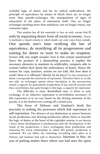veritable logic of desire and for its radical ambivalence, the principle of equivalence by means of which there are no longer more than pseudo-exchanges, the manipulation of signs of enjoyment in the place of enjoyment itself. One no longer exchanges anything more than simulacra, one no longer enjoys, one consumes signs.

This analysis has all the essentials to lure us with, except that it ends by separating desire from all social economy. Hence it institutes a closed system to which death can only come from outside. One spends one's time verifying the law of equivalence, de mystifying all its progressions and waiting for desire to want to make its eruption. Graver still, one might wonder: how is this system maintained? Since the product of a dismantling process, it implies the necessary elements to maintain its artificiality, ramparts able to contain within their limits the ambivalence of desire. Hence the reason for cops, teachers, armies we are told. But how does it work? How is it efficient? Merely by its force? To the exteriority of desire corresponds the exteriority of repression. Therefore there is, on the one side, an exchangist system whose inscription in the unconscious entails a capacity for generalized recuperation of any and all excesses and then, nevertheless, but quite foreign to this logic, a capacity for repression.

The difficulty is clear: Baudrillard says: 1) there is only exchange; 2) an objective repression is nevertheless necessary; 3) this repression is in no way based on the driving elements of the psyche, it is the barbed wire cutting off a closed area.

The force of Deleuze and Guattari's book lies precisely in seeking the processes which link repression to self-repression. The absence of any distinction in nature between social production and desiring-production allows them to inscribe the logic of desire at the heart of the capitalist system, to see therein a force whose development is simultaneous with the development of the whole of the productions, a force overlapping these productions and menacing the social relationships in which this generic production is contained. We can follow the reasoning: everything takes place as if Deleuze and Guattari had said to themselves: Marxism is fine, its way of putting matter there where one had seen the spirit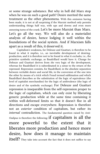or some strange substance. But why in hell did Marx stop when he was on such a good path? Desire merited the same treatment as the other phenomena. With this omission having been made, it is not at all surprising if the Marxist method only permits understanding things half way, with ups and downs and even more annoying turns of the crank. Let's be more Marxist than Marx. Let's go all the way. We will also do a materialist analysis of desire, hence lodging it well within the foundations of the social system. And if Marxism falls apart as a result of this, it deserved it.

Capitalism's weakness, for Deleuze and Guattari, is therefore to be found in what it *implies*, i.e., an inevitable development of desiringproduction, and it is therefore not to be found in what it excludes, i.e., the primitive symbolic exchange, as Baudrillard would have it. Change for Deleuze and Guattari derives from the very logic of the development, whereas for Baudrillard it is subordinated in a sense to the return of the repressed. Repression consists, for Baudrillard, in the absolute separation between veritable desire and social life, in the conversion of the one into the other by means of a trick which Freud termed sublimation and which Baudrillard describes as the substitution of the logic of equivalence (the level of capitalist merchandise) for the logic of ambivalence (the logic of desire and of the symbolic exchange). For Deleuze and Guattari repression is inseparable from the self-repression proper to the logic of capitalism, which can only exist by liberating generic production while at the same time containing it within well-deformed limits so that it doesn't flee in all directions and escape everywhere. Repression is therefore not an exterior condition of capitalism, but rather its internal contradiction. The fundamental question raised by Anti-Oedipus is therefore the following: if capitalism is all the more powerful to the extent that it liberates more production and hence more desire, how does it manage to maintain itself? They take into account the fact that it does not suffice to say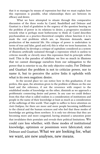that it so manages by means of repression but that we must explain how this repression is possible, what relationships there are between its efficacy and desire.

What we have attempted to situate through this comparative discussion of the three works by Castel, Baudrillard and Deleuze and Guattari is a kind of gradation in the urgency of the question bearing on the problem of power in its relations to desire, a progressive escalation towards what is perhaps most bothersome to think of. Castel describes psychoanalism as a practico-theoretical complex whose function it is to mask the real problems which are, as Marxism demands, man's production of his material life. His critique of power is undertaken in terms of true and false, good and evil; this is what we term humanism. As for Baudrillard, he develops a critique of capitalism considered as a system of illusions artificially sustained through a repression which is useless to criticize morally or cleverly since this repression find its principle within itself. This is the paradox of nihilism: we live so much in illusions that we cannot disengage ourselves from our subjugation to the power that is exterior to us, the only objective reality. For Deleuze and Guattari the problem is not to criticize power, nor to name it, but to perceive the active links it upholds with what is its own negation: desire.

In the second place we can notice how in this graduation, if one prefers, this span, the attention given to the problem of illness on the one hand and the reference, if not the reverence with respect to the established modes of knowledge on the other, diminish as we approach a problematic connecting desire and power. In any case we could deduce from this that what is called realism is a consideration of institutions and people in the name of their knowledge at least as much as a consideration of the sufferings of this world. That ought to suffice to force attention on Anti-Oedipus, for there are more and more people becoming indifferent to the clinical and the human sciences and who feel that these modes of knowledge are getting them nowhere. It is only too obvious that they are becoming more and more congested, having attained a saturation point that invalidates their postulate and reveals their political limitations. We could care less whether, with these modes of institutional knowledge, optimism or pessimism were fabricated, state Deleuze and Guattari.What we are looking for, what we want, are new analyses, new means.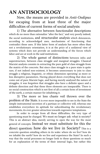# **AN ANTISOCIOLOGY**

Now, the means are provided in Anti-Oedipus for escaping from at least three of the major difficulties of current forms of social analysis:

1) The alternative between functionalist descriptions which do no more than rationalize "after the fact," and very poorly indeed, the social institutions, and structuralist analysis which denounces, according to acknowledged uses, mechanisms of functioning that contradict these uses. If this latter form of analysis has more often than not a revolutionary orientation, it is at the price of a unilateral view of systems which does not provide an understanding of the forces which labor and are at work in the said institutions.

2) The whole gamut of distinctions between infra and superstructure, between class struggle and marginal struggles. Classical Marxist analysis consists in extracting the pure gold of class struggle from the matrix of the concrete. But since class struggle in a pure state is quite rare, if not indeed non-existent, it becomes unnecessary to join to class struggle a religious, linguistic, or ethnic dimension operating' as more or less disruptive parameters. Having played down everything that does not come out of pure Marxist logic, and having merely analyzed the nature of struggles, it was forgotten that struggles also have a definite space and a definite direction and that these three elements are inseparable. There is no social construction which is not first of all a certain form of investment of the earth, a certain manner for inhabiting it.

3) The more or less chaste veil thrown over the problem of the State. It is ever more impossible to see in the State the simple instrumental secretion of a partisan or collective will, whereas one establishes everywhere its aptitude for subordinating the revolutionary movements, its ever greater attraction towards regressive temptations.

In order to escape from all these difficulties, the very type of questioning must be changed. We must no longer ask: what is society? This is an abstract idea, merely serving to open the way for the most general of concepts. Instead we must substitute for this the direct question: how do we live in Society? This is <sup>a</sup> concrete question entailing others in its wake: where do we live? how do we inhabit the earth? how do we live and experience the State? In such a way that the social processes no longer look to these questions so much for an explanation of the terms of their internal logic, but rather this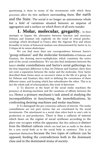questioning is done in terms of the investments with which these processes affect the two surfaces surrounding them: the earth and the State. The social is no longer an autonomous whole but a field of variations situated between an impetus of aggregation and a surface on which flows of all sorts wander.

**1. Molar, molecular, gregarity.** In their attempts to bypass the alternative between function and structure, Deleuze and Guattari rely explicitly on the trend of critical psychosociology which developed in France after the Algerian War and whose fecundity in terms of historical analysis was demonstrated by Sartre in  $La$ Critique de la raison dialectique.

We can find more than one correspondence between Sartre's "group-infusion" and the molecular formations of Deleuze and Guattari, the desiring micro-multiplicities which constitute the active pole of the social constellations. We can also find similarities between the latter's molar constellations and Sartre's serial gatherings. But the first important difference is that, for Deleuze and Guattari, there does not exist a separation between the molar and the molecular. Now Sartre described these forms more as successive states in the life of a group. As for Deleuze and Guattari, they stick to defining the coexistence of these different states, and locating which line subordinates the other. This is in fact the whole task of schizoanalysis, this work of detection:

1) To discover at the heart of the social molar machines the presence of desiring-machines and the variations of affinity between the two. Hence a primary mechanic's task aimed at studying the incompatibilities in functioning, the immobilizations, by confronting desiring-machines and molar machines.

2) To distinguish the pre-conscious cathexes of interest. The molar constellations are not pure inertia, but are constituted by the social investments. The attachment to a social class refers back to one's role in production or anti-production. There is thus a cathexis of interest which bears on the regime of social syntheses according to the place one occupies within the apparatus. But this cathexis is distinct from the libidinal cathexis which can lead just as easily to the desire for a new social body as to the social body in existence. This is an important distinction because the two types of cathexis can be opposed, feeding the contradictions both in the dominant class and in the dominated strata of society.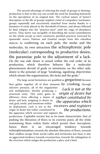The second advantage of referring the study of groups to desiringproduction is that in this way one avoids the need for founding historicity on the speculation of an original lack. The cyclical nature of Sartre's description of the life of groups implied a kind of compulsive mechanics: groups repeatedly and successively snatched from inertia thanks to a dynamics of rarity placed at the threshold of history, and always followed by fatal relapses into the "practico-inert" until the reign of abundance arrives. Thus Sartre was incapable of describing the social constellations on the whole except as inert constructs, petrified practices traversed by spasmodic waves. Deleuze and Guattari escape from this relentless dialectic by conferring on each pole, the molar and the molecular, its own attraction: the schizophrenic pole (molecular) corresponding to productive desire, the paranoiac pole to the adjustment of a lack. On the one side desire is seized within the real order of its production, which therefore behaves like a molecular phenomenon devoid of goals or intentions; on the other side, desire is the prisoner of large "totalizing, signifying objectivities which situate the organizations, the lacks and the goals."

The large social formations are qualified as **gregarious** because they gather together all of their elements by crushing, through selective pressure, all of the singularities and multiplicities, thereby producing a structural unity. This unity gains its efficiency from effecting a fusion of desire and lack, assigning to desire an end, goal, needs, and intentions within its deployment. Lack is not at the origin of desire but rather constituted by the apparatus which recovers and registers the productions. Capitalist society has as its main characteristic that of pushing the liberation of flows to its extreme point, all the while maintaining them within limits which permit their inscription; hence there is an encouraged tendency towards schizophrenization, towards the absolute liberation of flows, towards their endless escape from social codes and territories; but there is also an aggravated tendency towards reconnection, towards the subjugation to the structure which assigns the production a place and a limit. *Lack is not at the origin of desire but rather constituted by the apparatus which recovers and registers the productions.*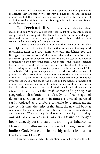Function and structure are not to be opposed as differing methods of analysis, they are merely two different regimes of one and the same production, but their difference has now been carried to the point of explosion. And what is at issue in this struggle is the form of investment which the earth can assume.

**2. Territoriality.** – In our mind, this is the richest idea in the book. While we can see that it takes a lot of things into account and permits doing away with the distinctions between infra- and superstructural, between what is marginal and what is essential, we also recognize that it is rarely and barely explained.

In a first attempt at definition of what they mean by territoriality we might do well to refer to the notion of codes. Coding and territorialization are two complementary modalities for the fitting-up of productions. Coding adjusts the production to the socius, the central apparatus of society, and territorialization stocks the flows of production on the body of the earth. If we consider the "savage" societies the difference in negligible between coding and territorialization, since the recording surface and the coding space are both the earth itself. The earth is then "this great unengendered stasis, the superior element of production which conditions the common appropriation and utilization of the soil." It is on the earth that the tie is made between desire and its own repression. It is the space, the object and the natural grounding of production, the immanent form of the first cathexis of desire bearing on the full body of the earth, only modulated then by sole differences in intensity. This is to say that the establishment of a principle of geographic distribution is already a first stage of deterritorialization since it institutes a divided, parceled earth, replaced as a unifying principle by a transcendent agency this time, the unity of the State, the new full body. It can be seen that coding and territoriality evolve in inverse proportion to one another. When coding is developed, becoming overcoding, territoriality diminishes and gains in artificiality. Desire no longer bears directly on the earth, it no longer inhabits it. Desire now hallucinates the earth through new full bodies: God, Moses, little and big chiefs; lead us to the Promised Land!

This movement of deterritorialization is raised to such a level by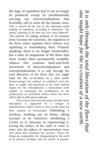the logic of capitalism that it can no longer be produced except by simultaneously carrying out reterritorializations that feverishly call to arms all the former ones. This is carried all the way to the saturation point making of capitalism, according to Nietzsche, "the motley painting of all that has ever been believed." The activity of coding, pushed, to its extreme limit, becomes the axiomatic, the regulation of the flows which regulates them without ever rigidifying or immobilizing them. Properly speaking, there is no longer territoriality, but a state of suspension of the flows that must render them permanently available, whence this ceaseless back-and-forth movement of deterritorializations and reterritorializations. It is only through the total liberation of the flows that one might hope for the re-creation of a new earth. Homecomings, but without an umbilical cord this time, as supple and functional as the body without organs for the schizophrenic; a miraculated earth capable of containing the proliferation of the productions, an enchanted surface where the flows will be able to shift about endlessly.

This is more than mere literature, for this entire description is supported by a critique of representation which comes to serve as the basis for their analysis of territoriality. Delimiting a territory, marking out its limits, taking account of its resources, attributing a Center to it, amounts to representing it, leaving the surface of the earth in order to enter into the sphere of representation. Maps and charts also constitute the territory. These two things are inseparable: the relinquishing by the earth of its primary privilege, and the advent of pseudo*It is only through the total liberation of the flows that one might hope for the re* might hope for the re-creation of a new earth. through the total liberation of the flows tha *-creation of a new earth.*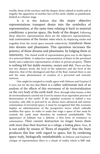worlds, those of the territory and the despot, those related in myths and in tragedy; the apparition of another face of the earth, shabby as pasteboard, limited as a theater stage.

It is in this fashion that the major objective representations transport desire into the symbolics of representation, at the same time relating it back to material conditions: a precise space, the body of the despot. Following these objective representations there are the subjective representations, real conversions of the former ones which, by displacing myths and tragedies from the social space towards subjectivity, transform these into dreams and phantasies. This operation increases the potency of these dreams and phantasies, by lodging them in interiority. The closed world of representation gives way to the figures of a universal libido. A subjective representation of desire in the privatized family and a subjective representation of labor in private property. There is nothing left but daddy-mommy, money and shit. There are thus not two distinct levels, the level of the subjective and the level of the objective, that of the ideological and that of the Real. Instead there is one and the same phenomenon of creation of a perverted and neurotic universe.

One might be tempted to totally agree with Deleuze and Guattari if it were not for the fact that there is a rather unfortunate lack of an analysis of the effects of this movement of de territorialization on the very body of the earth itself. How, through what means, is this de territorialization carried out if not by means of an equivalent process of deterioration of this earth? If the capitalist economy is indeed a war economy, only able to proceed by an always more advanced and intense colonization of terrestrial space, it must be recognized that this economy implies an administration of the prospective terror which radically modifies this space. In order to make fear reign a space of fear must be created; the earth must therefore be rendered uninhabitable. The appearance of habitats was a defense, a first form of resistance to colonization. Their current destruction no longer leaves them with more than their function as a refuge, a hiding place. Now, it is not solely by means of "flows of stupidity" that the State produces this fear with regard to space, but by rendering space truly, biologically uninhabitable. In Deleuze and Guattari's critique of representation there is a chunk of reality which is left out.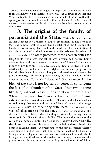Agreed, Deleuze and Guattari might well reply, and so if we are not able to create a new world, the liberated flows will lead us towards another one. While waiting for this to happen, it is not on the side of the schizo that the apocalypse is to be found, but well within the hands of the State, and if necessary, their analysis of this situation would be able to convince us on this matter.n1

#### **3. The origins of the family, of paranoia and the State.** – Anti-Oedipus contains all that is needed for a reversal of Engels' propositions in The Origins of the Family. Let's recall to mind that he established the State and the family in a relationship that could be deduced from the modification of the relationships of production whose essential axis was the advent of private property. The State possessed three characteristics for Engels: its birth was logical, it was determined before being determining, and there were as many forms of States ad there were modes of production. The family, from a position integrated within the relationships of production in an original era, became progressively individualized but still remained closely subordinated to and alienated by private property, with private property being the major "analyzer" of the other institutions. To which Deleuze and Guattari respond: The birth of the State is not logical but perfectly contingent; the fact of the founders of the State, "they (who) come like fate, without reason, consideration or pretext."n2 Where do they come from? from the desert, i.e., from the limit exterior to the discontinuous web of filiations and alliances which stowed among themselves and on the full body of the earth the savage populations. What do they bring with them? the principle of a vertical allegiance to the despot, a new point of coupling of the alliances and the filiations which the despot extends by causing them to converge in his direct filiation with God. The despot then replaces the earth as an immobile motor, his God is the Goddess Earth. Secondly, the State is a determining factor before being determined. The despotic machine installs an overcoding on the first assemblies, thereby determining a unified construct. The territorial machine held its own through an interplay of actions and reactions articulated around debt. It fit together the filiations in themselves and among themselves, the producers and the non-producers according to a relationship of debtor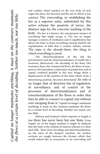and creditor which marked on the very body of each organ the place, the function and the use to which it was indebted. The overcoding, in establishing the law as a superior unity, substituted for this active scheme the passivity of terror, the abstract sign for the concrete marking of the body. The law is a latency, the omnipresent menace of everything that might escape it. The law no longer manages a system of retribution and re-equilibration but allows the State to drain everything towards itself by the capitalization of debt that it renders infinite, eternal. The state is the already-there, the thing to which everything is owed.

The deterritorialization of the soil (by privatization) and the deterritorialization of wealth (by a monetary abstraction), the decoding of the flows (the monetary flows, the commercial flows, the flows of manpower); this hazardous conjunction of production and of capital, rendered possible in this way, brings about a displacement of the position of the State which, from a determining position, becomes determined. Its role is no longer that of direction but of regulation, of surveillance, and of control of the processes of deterritorialization and of reterritorialization of the flows in order that they be able to connect to capital, but without ever escaping from it. Capital no longer maintains anything, it must on the contrary maintain the flows at a certain level of decoding. Neither too much, nor too little.

Deleuze and Guattari's third response to Engels is that there has never been but one State. From Engels' art of the happy medium it might be deduced that the State is the wisdom of nations whereas it is their dark folly. "Born from decoding and deterritorialization, on the ruins of the despotic machine, the modem societies are caught between the *Urstaat* which they would indeed like to resuscitate as an overcoding and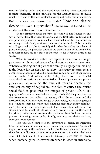reterritorializing unity, and the freed flows leading them towards an absolute threshold." If this nostalgia for the *Urstaat* carries so much weight, it is due to the fact, as Reich already put forth, that it is desired. But how can one desire the State? How can desire desire its own repression? The answer is found in the analysis of the evolution of the family.

In the primitive social machine, the family is not isolated by any sort of barrier from the rest of the social and political field. Producing and non-producing elements are immediately marked, inscribed on the socius, according to their family rank and their rank in the family. This is exactly what Engels said, and he is certainly right when he makes the advent of private property the principal cause of the privatization of the family; but if he does indeed see the cause of the process, he is hardly aware of its scope.

What is inscribed within the capitalist socius are no longer producers but forces and means of production as abstract quantities. Whence a placing out of play of the family, a segregation making it the locale for an abstract equality. The family becomes, then, a deceptive microcosm of what it is separated from, a surface of application of the social field which, while fitting itself over the familial determinations, performs a transmutation of social persons into private persons and vice versa. As the smallest possible theater, the smallest colony of capitalism, the family causes the entire social field to pass into the images of private life. "In the aggregate of departure there is the boss, the tribal chief, the priest, the cop, the tax-collector, the soldier, the worker, all of the machines and the territorialities, all of the social images of our society, but in the aggregate of destination, there no longer exists anything more than daddy-mommyme." The family only expresses what it no longer dominates and this simulation of the social field allows the latter to catch desire in the trap of its primary cathexes and to draw the maximum benefits from the very process of making desire guilty. Daddy, mommy, my desire and me, everywhere and forever.

This operation completes the adventure of desire, its migration from the primary situation where it was a simple effusion, a "germinal implex" running on the surface of the body of the earth, unaware of incest since the pure filiations did not presuppose names or functions that were discernible, but simple differences in intensity. Oedipus is born when society gains in extension what is loses in intensity.